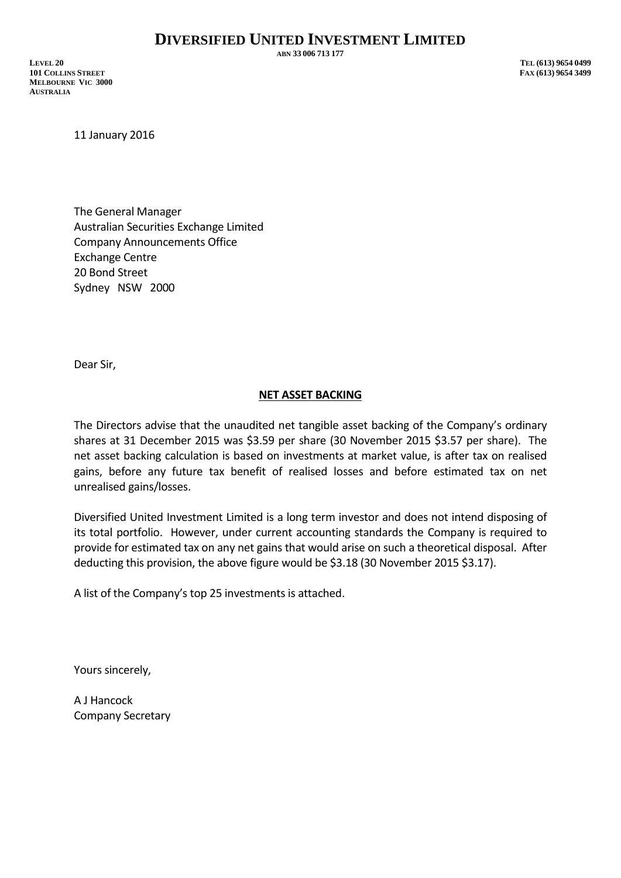**ABN 33 006 713 177**

**LEVEL 20 TEL (613) 9654 0499 101 COLLINS STREET FAX (613) 9654 3499 MELBOURNE VIC 3000 AUSTRALIA**

11 January 2016

The General Manager Australian Securities Exchange Limited Company Announcements Office Exchange Centre 20 Bond Street Sydney NSW 2000

Dear Sir,

## **NET ASSET BACKING**

The Directors advise that the unaudited net tangible asset backing of the Company's ordinary shares at 31 December 2015 was \$3.59 per share (30 November 2015 \$3.57 per share). The net asset backing calculation is based on investments at market value, is after tax on realised gains, before any future tax benefit of realised losses and before estimated tax on net unrealised gains/losses.

Diversified United Investment Limited is a long term investor and does not intend disposing of its total portfolio. However, under current accounting standards the Company is required to provide for estimated tax on any net gains that would arise on such a theoretical disposal. After deducting this provision, the above figure would be \$3.18 (30 November 2015 \$3.17).

A list of the Company's top 25 investments is attached.

Yours sincerely,

A J Hancock Company Secretary